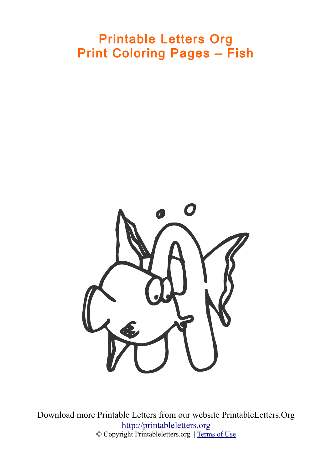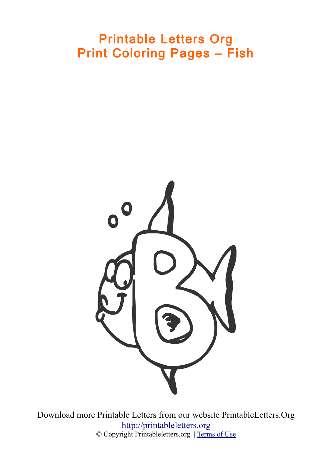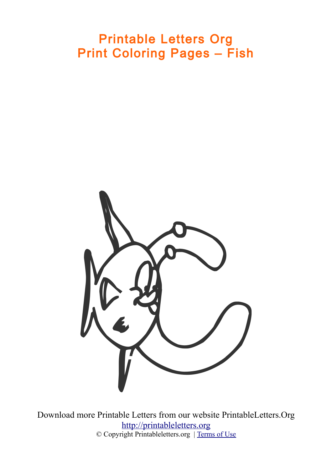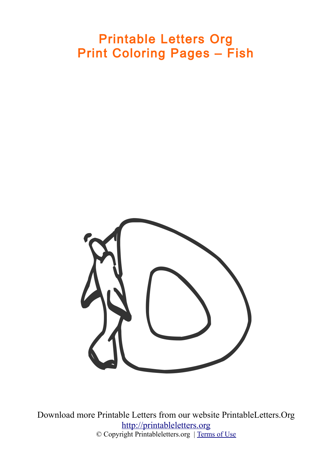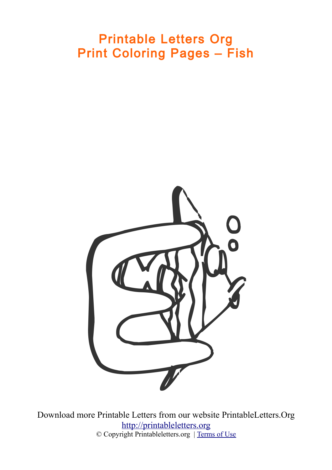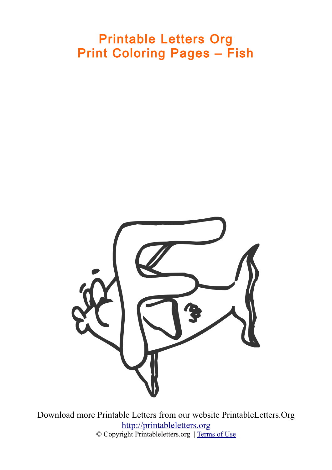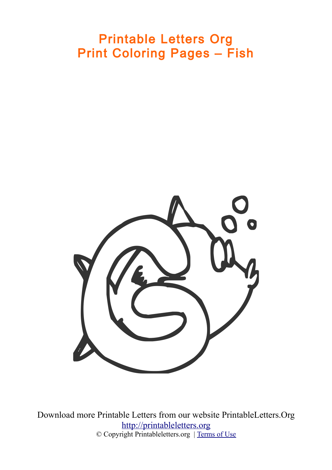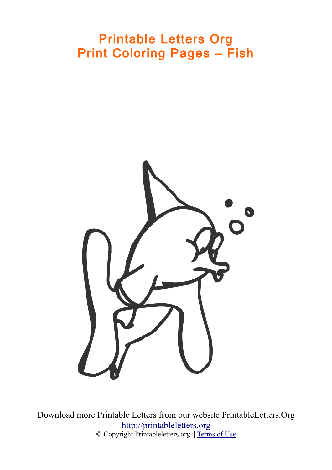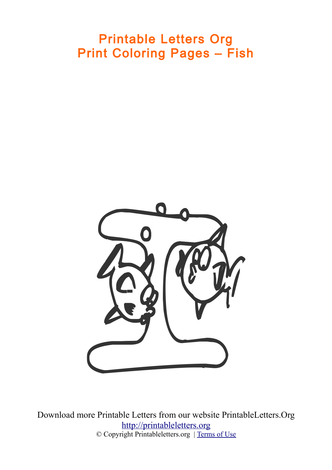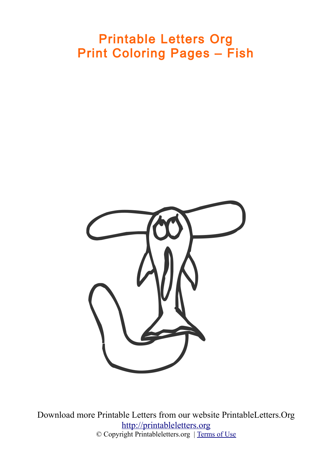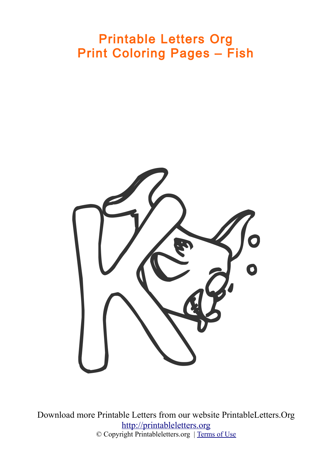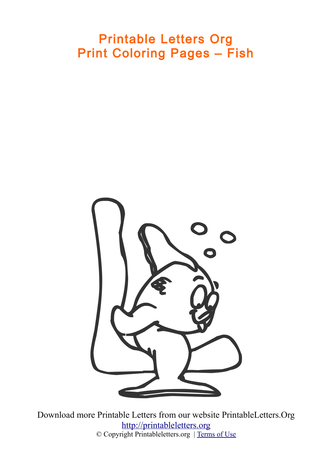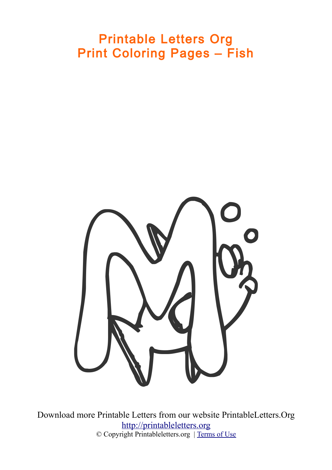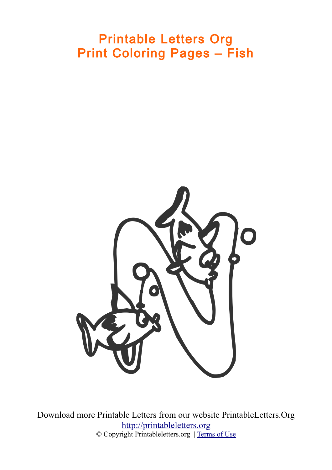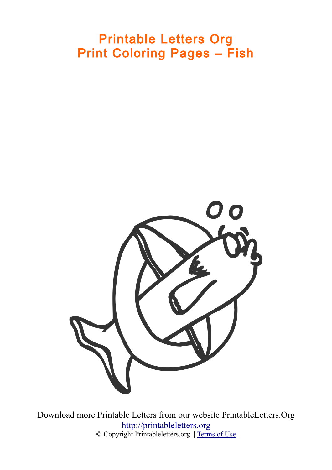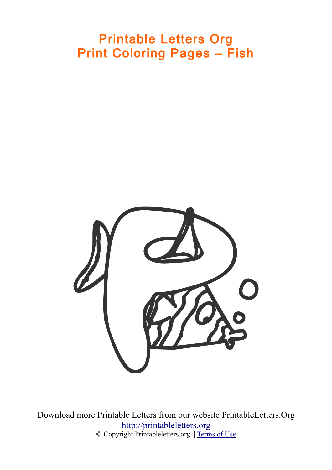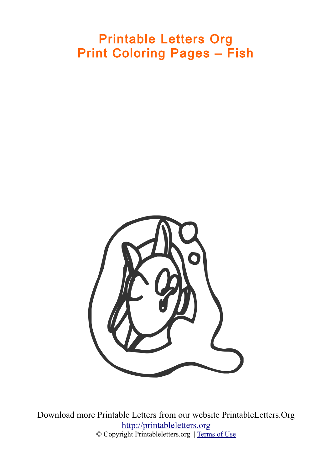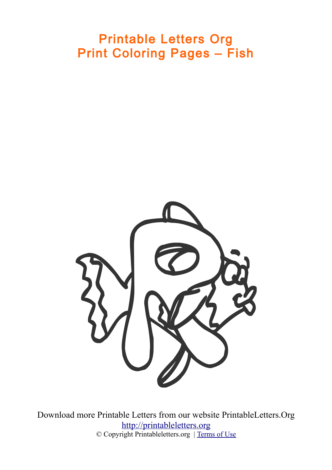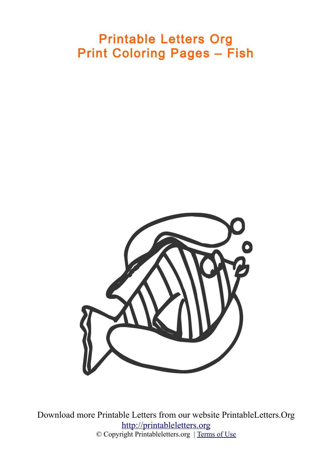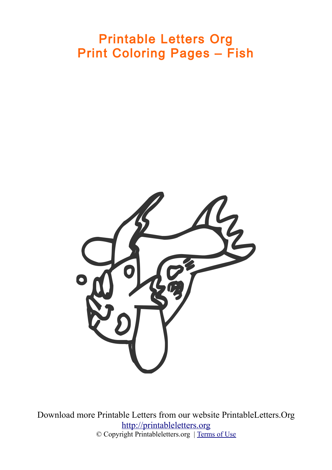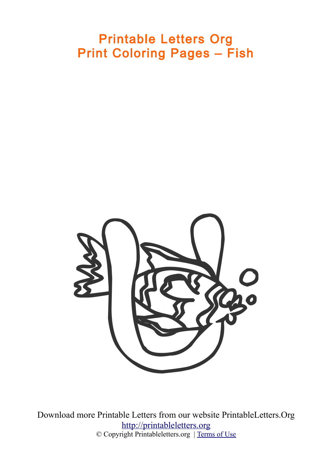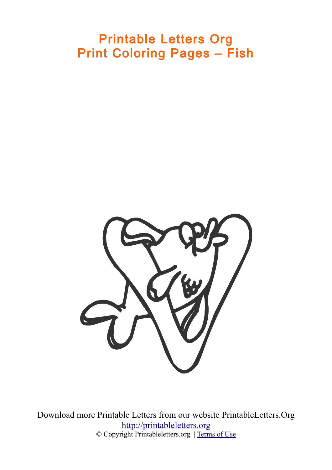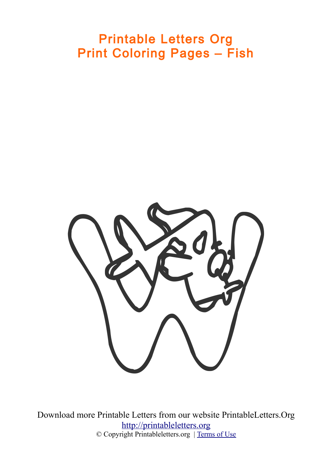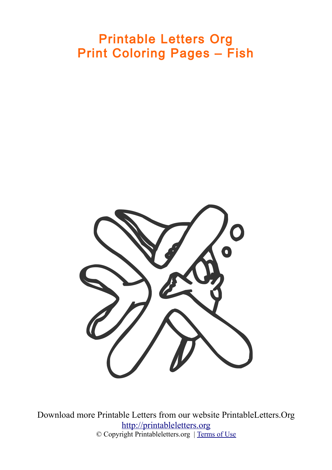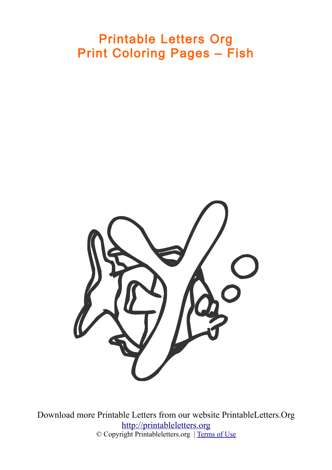